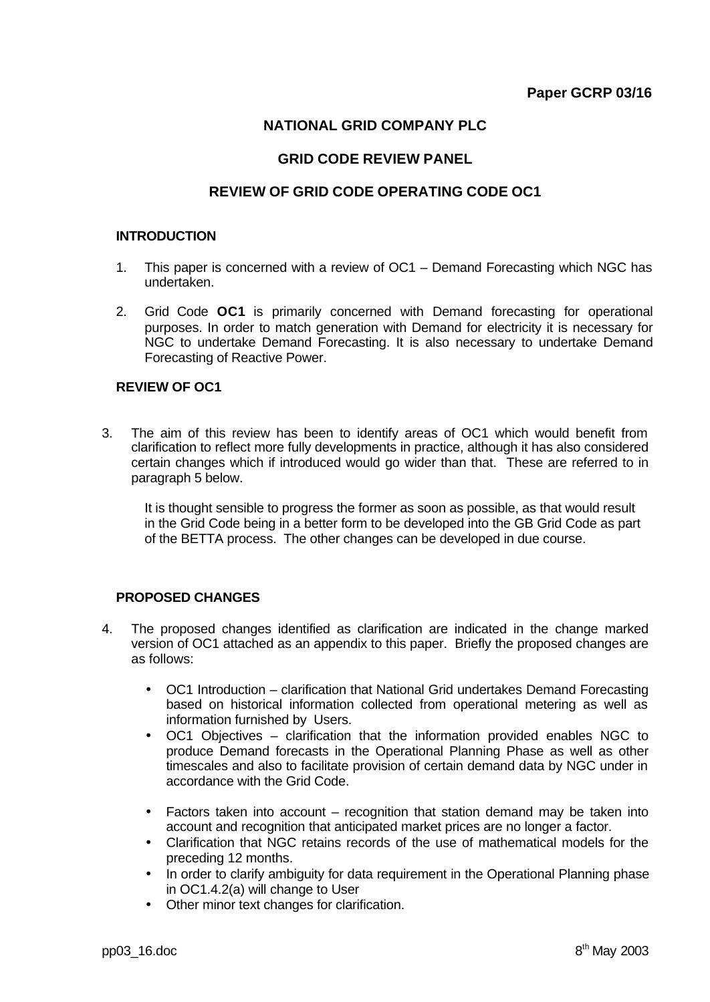# **NATIONAL GRID COMPANY PLC**

# **GRID CODE REVIEW PANEL**

# **REVIEW OF GRID CODE OPERATING CODE OC1**

#### **INTRODUCTION**

- 1. This paper is concerned with a review of OC1 Demand Forecasting which NGC has undertaken.
- 2. Grid Code **OC1** is primarily concerned with Demand forecasting for operational purposes. In order to match generation with Demand for electricity it is necessary for NGC to undertake Demand Forecasting. It is also necessary to undertake Demand Forecasting of Reactive Power.

## **REVIEW OF OC1**

3. The aim of this review has been to identify areas of OC1 which would benefit from clarification to reflect more fully developments in practice, although it has also considered certain changes which if introduced would go wider than that. These are referred to in paragraph 5 below.

It is thought sensible to progress the former as soon as possible, as that would result in the Grid Code being in a better form to be developed into the GB Grid Code as part of the BETTA process. The other changes can be developed in due course.

## **PROPOSED CHANGES**

- 4. The proposed changes identified as clarification are indicated in the change marked version of OC1 attached as an appendix to this paper. Briefly the proposed changes are as follows:
	- OC1 Introduction clarification that National Grid undertakes Demand Forecasting based on historical information collected from operational metering as well as information furnished by Users.
	- OC1 Objectives clarification that the information provided enables NGC to produce Demand forecasts in the Operational Planning Phase as well as other timescales and also to facilitate provision of certain demand data by NGC under in accordance with the Grid Code.
	- Factors taken into account recognition that station demand may be taken into account and recognition that anticipated market prices are no longer a factor.
	- Clarification that NGC retains records of the use of mathematical models for the preceding 12 months.
	- In order to clarify ambiguity for data requirement in the Operational Planning phase in OC1.4.2(a) will change to User
	- Other minor text changes for clarification.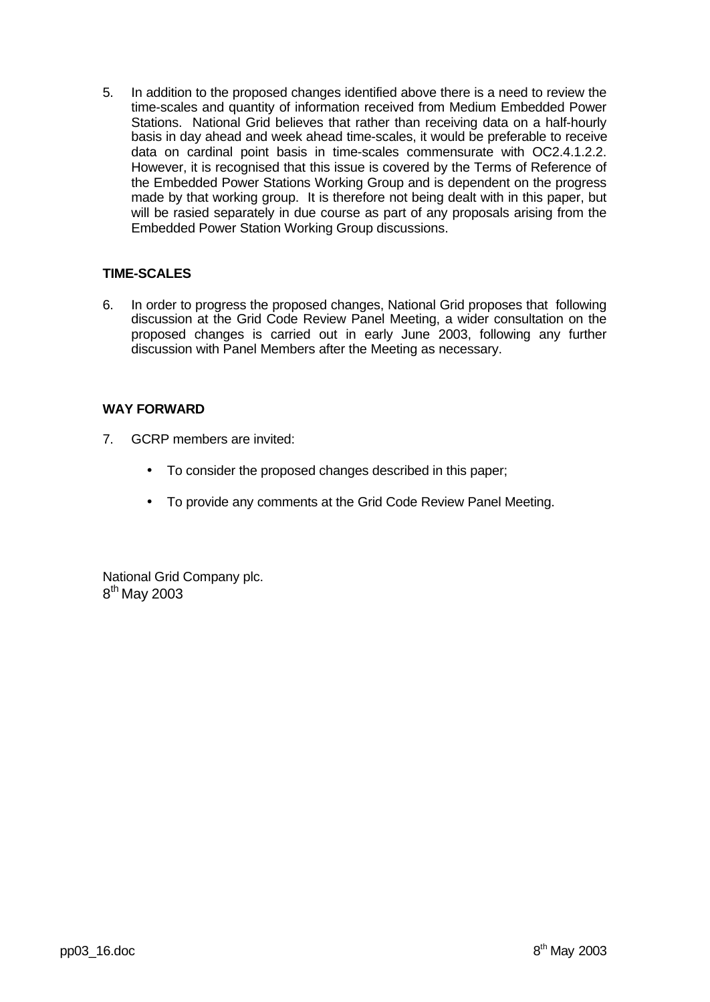5. In addition to the proposed changes identified above there is a need to review the time-scales and quantity of information received from Medium Embedded Power Stations. National Grid believes that rather than receiving data on a half-hourly basis in day ahead and week ahead time-scales, it would be preferable to receive data on cardinal point basis in time-scales commensurate with OC2.4.1.2.2. However, it is recognised that this issue is covered by the Terms of Reference of the Embedded Power Stations Working Group and is dependent on the progress made by that working group. It is therefore not being dealt with in this paper, but will be rasied separately in due course as part of any proposals arising from the Embedded Power Station Working Group discussions.

# **TIME-SCALES**

6. In order to progress the proposed changes, National Grid proposes that following discussion at the Grid Code Review Panel Meeting, a wider consultation on the proposed changes is carried out in early June 2003, following any further discussion with Panel Members after the Meeting as necessary.

## **WAY FORWARD**

- 7. GCRP members are invited:
	- To consider the proposed changes described in this paper;
	- To provide any comments at the Grid Code Review Panel Meeting.

National Grid Company plc. 8<sup>th</sup> May 2003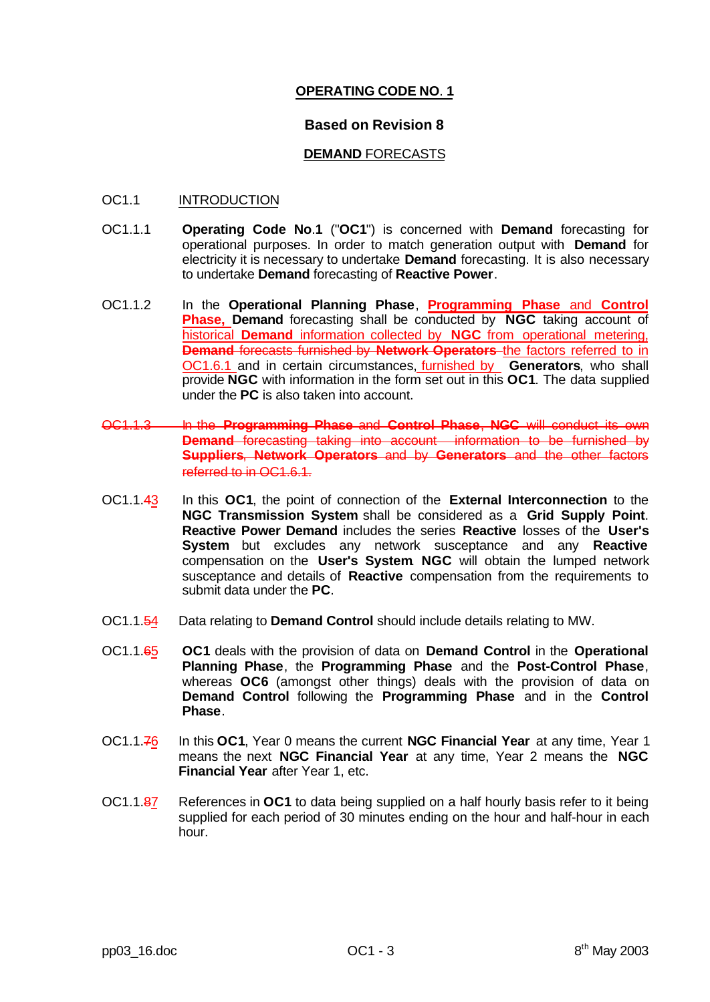# **OPERATING CODE NO**. **1**

## **Based on Revision 8**

## **DEMAND** FORECASTS

## OC1.1 INTRODUCTION

- OC1.1.1 **Operating Code No**.**1** ("**OC1**") is concerned with **Demand** forecasting for operational purposes. In order to match generation output with **Demand** for electricity it is necessary to undertake **Demand** forecasting. It is also necessary to undertake **Demand** forecasting of **Reactive Power**.
- OC1.1.2 In the **Operational Planning Phase**, **Programming Phase** and **Control Phase, Demand** forecasting shall be conducted by **NGC** taking account of historical **Demand** information collected by **NGC** from operational metering, **Demand** forecasts furnished by **Network Operators** the factors referred to in OC1.6.1 and in certain circumstances, furnished by **Generators**, who shall provide **NGC** with information in the form set out in this **OC1**. The data supplied under the **PC** is also taken into account.
- **OC1.1.3** In the **Programming Phase** and **Control Phase, NGC** will conduct **Demand** forecasting taking into account information to be furnished by **Suppliers, Network Operators and by Generators and the other** referred to in OC1.6.1.
- OC1.1.43 In this **OC1**, the point of connection of the **External Interconnection** to the **NGC Transmission System** shall be considered as a **Grid Supply Point**. **Reactive Power Demand** includes the series **Reactive** losses of the **User's System** but excludes any network susceptance and any **Reactive** compensation on the **User's System**. **NGC** will obtain the lumped network susceptance and details of **Reactive** compensation from the requirements to submit data under the **PC**.
- OC1.1.54 Data relating to **Demand Control** should include details relating to MW.
- OC1.1.65 **OC1** deals with the provision of data on **Demand Control** in the **Operational Planning Phase**, the **Programming Phase** and the **Post-Control Phase**, whereas **OC6** (amongst other things) deals with the provision of data on **Demand Control** following the **Programming Phase** and in the **Control Phase**.
- OC1.1.76 In this **OC1**, Year 0 means the current **NGC Financial Year** at any time, Year 1 means the next **NGC Financial Year** at any time, Year 2 means the **NGC Financial Year** after Year 1, etc.
- OC1.1.87 References in **OC1** to data being supplied on a half hourly basis refer to it being supplied for each period of 30 minutes ending on the hour and half-hour in each hour.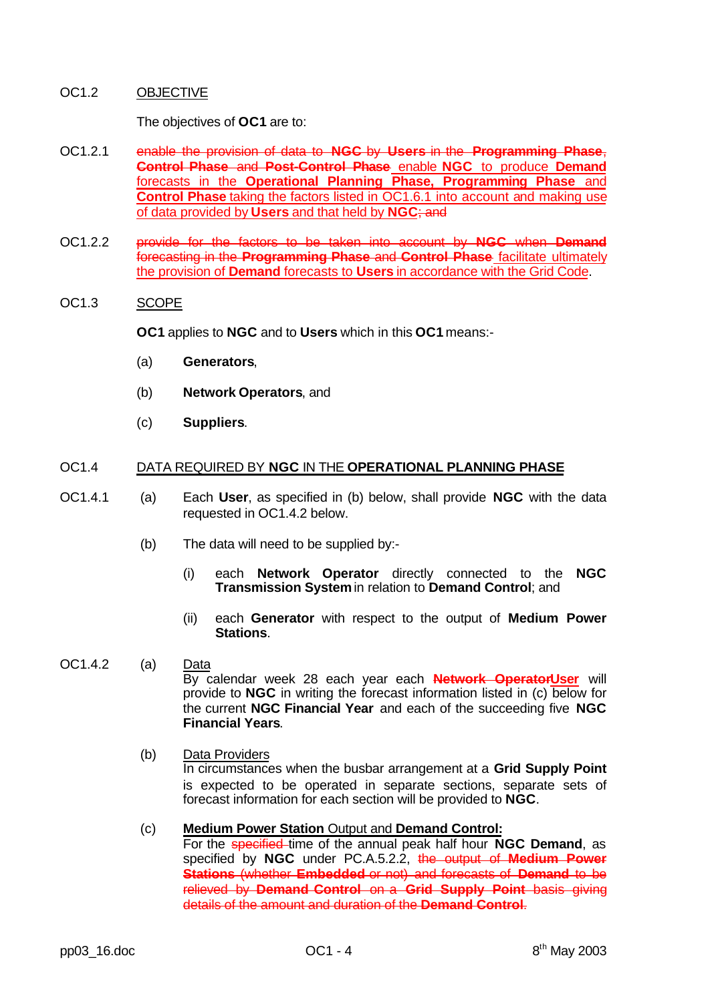## OC1.2 OBJECTIVE

The objectives of **OC1** are to:

- OC1.2.1 enable the provision of data to **NGC** by **Users** in the **Programming Phase**, **Control Phase** and **Post-Control Phase** enable **NGC** to produce **Demand** forecasts in the **Operational Planning Phase, Programming Phase** and **Control Phase** taking the factors listed in OC1.6.1 into account and making use of data provided by **Users** and that held by **NGC**; and
- OC1.2.2 provide for the factors to be taken into account by **NGC** when **Demand** forecasting in the **Programming Phase** and **Control Phase** facilitate ultimately the provision of **Demand** forecasts to **Users** in accordance with the Grid Code.

#### OC1.3 SCOPE

**OC1** applies to **NGC** and to **Users** which in this **OC1** means:-

- (a) **Generators**,
- (b) **Network Operators**, and
- (c) **Suppliers**.

#### OC1.4 DATA REQUIRED BY **NGC** IN THE **OPERATIONAL PLANNING PHASE**

- OC1.4.1 (a) Each **User**, as specified in (b) below, shall provide **NGC** with the data requested in OC1.4.2 below.
	- (b) The data will need to be supplied by:-
		- (i) each **Network Operator** directly connected to the **NGC Transmission System** in relation to **Demand Control**; and
		- (ii) each **Generator** with respect to the output of **Medium Power Stations**.

#### OC1.4.2 (a) Data By calendar week 28 each year each **Network OperatorUser** will provide to **NGC** in writing the forecast information listed in (c) below for the current **NGC Financial Year** and each of the succeeding five **NGC Financial Years**.

(b) Data Providers In circumstances when the busbar arrangement at a **Grid Supply Point** is expected to be operated in separate sections, separate sets of forecast information for each section will be provided to **NGC**.

## (c) **Medium Power Station** Output and **Demand Control:**

For the specified time of the annual peak half hour **NGC Demand**, as specified by **NGC** under PC.A.5.2.2, the output of **Medium Power Stations** (whether **Embedded** or not) and forecasts of **Demand** to be relieved by **Demand Control** on a **Grid Supply Point** basis giving details of the amount and duration of the **Demand Control**.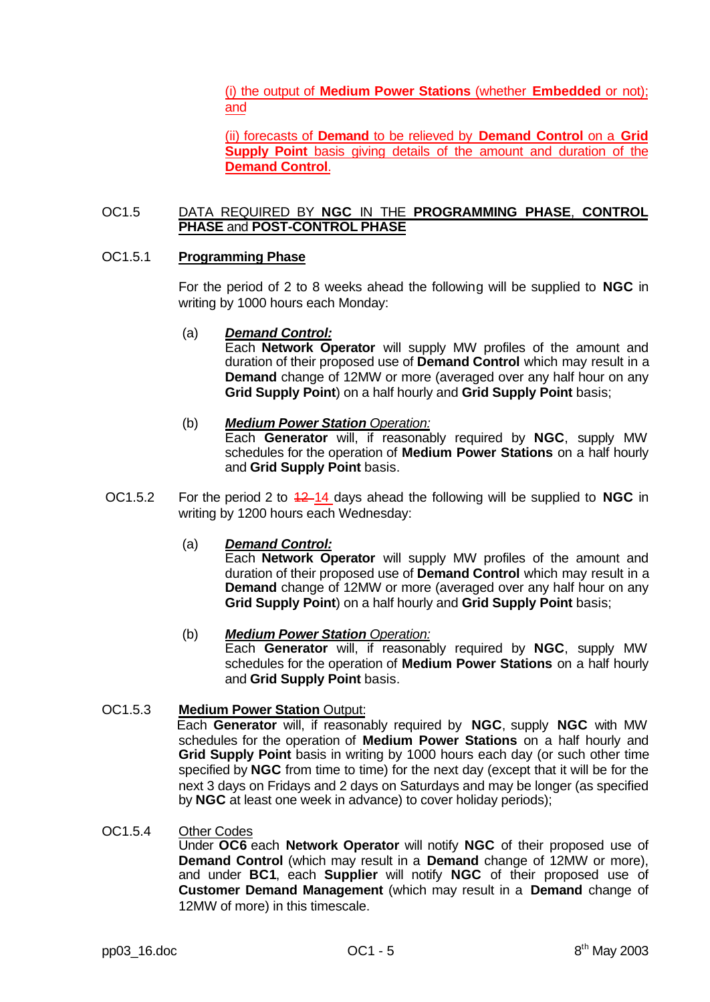(i) the output of **Medium Power Stations** (whether **Embedded** or not); and

(ii) forecasts of **Demand** to be relieved by **Demand Control** on a **Grid Supply Point** basis giving details of the amount and duration of the **Demand Control**.

## OC1.5 DATA REQUIRED BY **NGC** IN THE **PROGRAMMING PHASE**, **CONTROL PHASE** and **POST-CONTROL PHASE**

#### OC1.5.1 **Programming Phase**

For the period of 2 to 8 weeks ahead the following will be supplied to **NGC** in writing by 1000 hours each Monday:

#### (a) *Demand Control:*

Each **Network Operator** will supply MW profiles of the amount and duration of their proposed use of **Demand Control** which may result in a **Demand** change of 12MW or more (averaged over any half hour on any **Grid Supply Point**) on a half hourly and **Grid Supply Point** basis;

## (b) *Medium Power Station Operation:*

Each **Generator** will, if reasonably required by **NGC**, supply MW schedules for the operation of **Medium Power Stations** on a half hourly and **Grid Supply Point** basis.

OC1.5.2 For the period 2 to  $\frac{42-14}{2}$  days ahead the following will be supplied to **NGC** in writing by 1200 hours each Wednesday:

## (a) *Demand Control:*

Each **Network Operator** will supply MW profiles of the amount and duration of their proposed use of **Demand Control** which may result in a **Demand** change of 12MW or more (averaged over any half hour on any **Grid Supply Point**) on a half hourly and **Grid Supply Point** basis;

## (b) *Medium Power Station Operation:*

Each **Generator** will, if reasonably required by **NGC**, supply MW schedules for the operation of **Medium Power Stations** on a half hourly and **Grid Supply Point** basis.

## OC1.5.3 **Medium Power Station** Output:

Each **Generator** will, if reasonably required by **NGC**, supply **NGC** with MW schedules for the operation of **Medium Power Stations** on a half hourly and **Grid Supply Point** basis in writing by 1000 hours each day (or such other time specified by **NGC** from time to time) for the next day (except that it will be for the next 3 days on Fridays and 2 days on Saturdays and may be longer (as specified by **NGC** at least one week in advance) to cover holiday periods);

## OC1.5.4 Other Codes

Under **OC6** each **Network Operator** will notify **NGC** of their proposed use of **Demand Control** (which may result in a **Demand** change of 12MW or more), and under **BC1**, each **Supplier** will notify **NGC** of their proposed use of **Customer Demand Management** (which may result in a **Demand** change of 12MW of more) in this timescale.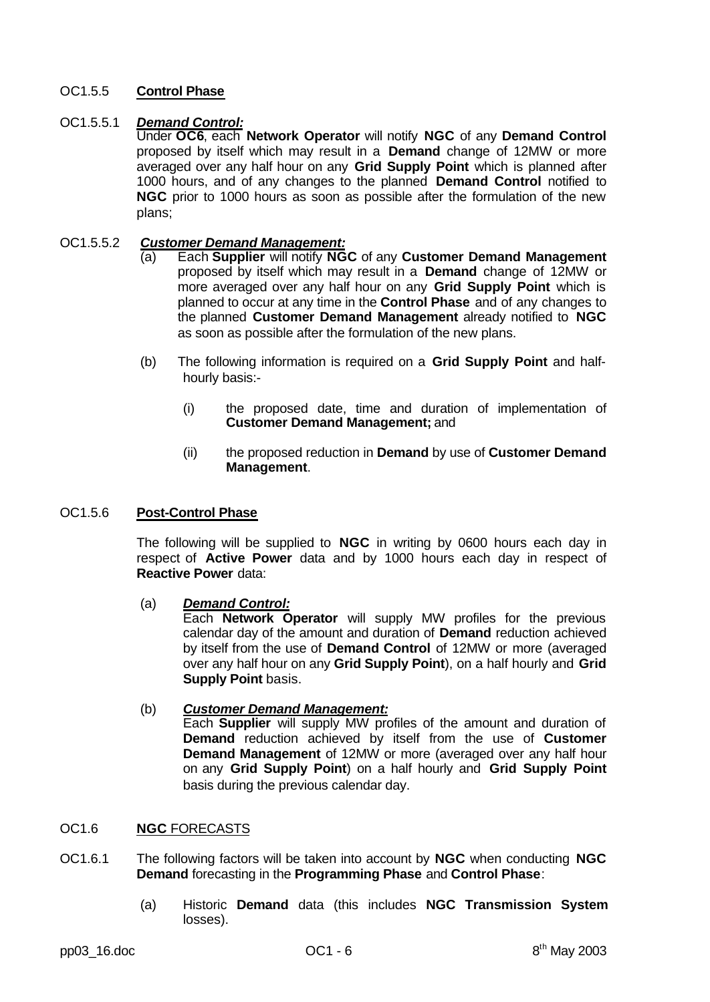# OC1.5.5 **Control Phase**

## OC1.5.5.1 *Demand Control:*

Under **OC6**, each **Network Operator** will notify **NGC** of any **Demand Control** proposed by itself which may result in a **Demand** change of 12MW or more averaged over any half hour on any **Grid Supply Point** which is planned after 1000 hours, and of any changes to the planned **Demand Control** notified to **NGC** prior to 1000 hours as soon as possible after the formulation of the new plans;

#### OC1.5.5.2 *Customer Demand Management:*

- (a) Each **Supplier** will notify **NGC** of any **Customer Demand Management** proposed by itself which may result in a **Demand** change of 12MW or more averaged over any half hour on any **Grid Supply Point** which is planned to occur at any time in the **Control Phase** and of any changes to the planned **Customer Demand Management** already notified to **NGC** as soon as possible after the formulation of the new plans.
- (b) The following information is required on a **Grid Supply Point** and halfhourly basis:-
	- (i) the proposed date, time and duration of implementation of **Customer Demand Management;** and
	- (ii) the proposed reduction in **Demand** by use of **Customer Demand Management**.

#### OC1.5.6 **Post-Control Phase**

The following will be supplied to **NGC** in writing by 0600 hours each day in respect of **Active Power** data and by 1000 hours each day in respect of **Reactive Power** data:

## (a) *Demand Control:*

Each **Network Operator** will supply MW profiles for the previous calendar day of the amount and duration of **Demand** reduction achieved by itself from the use of **Demand Control** of 12MW or more (averaged over any half hour on any **Grid Supply Point**), on a half hourly and **Grid Supply Point** basis.

#### (b) *Customer Demand Management:* Each **Supplier** will supply MW profiles of the amount and duration of **Demand** reduction achieved by itself from the use of **Customer Demand Management** of 12MW or more (averaged over any half hour on any **Grid Supply Point**) on a half hourly and **Grid Supply Point** basis during the previous calendar day.

#### OC1.6 **NGC** FORECASTS

- OC1.6.1 The following factors will be taken into account by **NGC** when conducting **NGC Demand** forecasting in the **Programming Phase** and **Control Phase**:
	- (a) Historic **Demand** data (this includes **NGC Transmission System** losses).